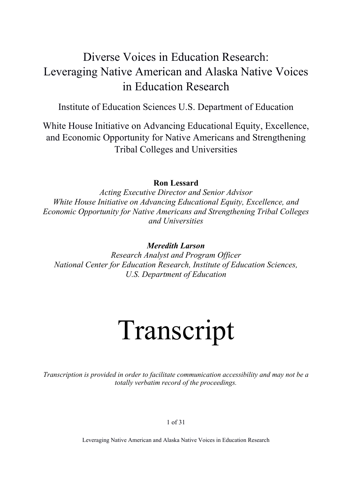## Diverse Voices in Education Research: Leveraging Native American and Alaska Native Voices in Education Research

Institute of Education Sciences U.S. Department of Education

White House Initiative on Advancing Educational Equity, Excellence, and Economic Opportunity for Native Americans and Strengthening Tribal Colleges and Universities

#### **Ron Lessard**

*Acting Executive Director and Senior Advisor White House Initiative on Advancing Educational Equity, Excellence, and Economic Opportunity for Native Americans and Strengthening Tribal Colleges and Universities*

#### *Meredith Larson*

*Research Analyst and Program Officer National Center for Education Research, Institute of Education Sciences, U.S. Department of Education*

# Transcript

*Transcription is provided in order to facilitate communication accessibility and may not be a totally verbatim record of the proceedings.*

1 of 31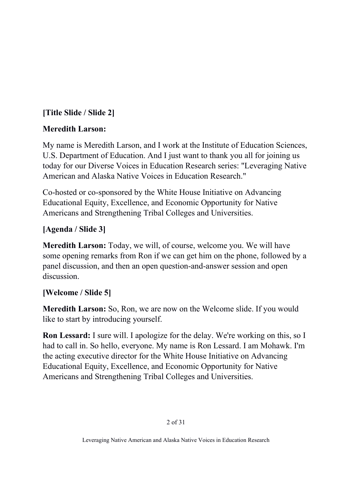## **[Title Slide / Slide 2]**

## **Meredith Larson:**

My name is Meredith Larson, and I work at the Institute of Education Sciences, U.S. Department of Education. And I just want to thank you all for joining us today for our Diverse Voices in Education Research series: "Leveraging Native American and Alaska Native Voices in Education Research."

Co-hosted or co-sponsored by the White House Initiative on Advancing Educational Equity, Excellence, and Economic Opportunity for Native Americans and Strengthening Tribal Colleges and Universities.

## **[Agenda / Slide 3]**

**Meredith Larson:** Today, we will, of course, welcome you. We will have some opening remarks from Ron if we can get him on the phone, followed by a panel discussion, and then an open question-and-answer session and open discussion.

## **[Welcome / Slide 5]**

**Meredith Larson:** So, Ron, we are now on the Welcome slide. If you would like to start by introducing yourself.

**Ron Lessard:** I sure will. I apologize for the delay. We're working on this, so I had to call in. So hello, everyone. My name is Ron Lessard. I am Mohawk. I'm the acting executive director for the White House Initiative on Advancing Educational Equity, Excellence, and Economic Opportunity for Native Americans and Strengthening Tribal Colleges and Universities.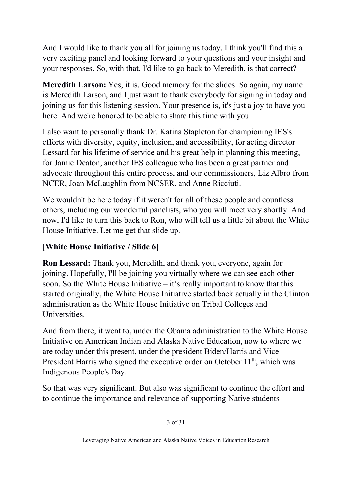And I would like to thank you all for joining us today. I think you'll find this a very exciting panel and looking forward to your questions and your insight and your responses. So, with that, I'd like to go back to Meredith, is that correct?

**Meredith Larson:** Yes, it is. Good memory for the slides. So again, my name is Meredith Larson, and I just want to thank everybody for signing in today and joining us for this listening session. Your presence is, it's just a joy to have you here. And we're honored to be able to share this time with you.

I also want to personally thank Dr. Katina Stapleton for championing IES's efforts with diversity, equity, inclusion, and accessibility, for acting director Lessard for his lifetime of service and his great help in planning this meeting, for Jamie Deaton, another IES colleague who has been a great partner and advocate throughout this entire process, and our commissioners, Liz Albro from NCER, Joan McLaughlin from NCSER, and Anne Ricciuti.

We wouldn't be here today if it weren't for all of these people and countless others, including our wonderful panelists, who you will meet very shortly. And now, I'd like to turn this back to Ron, who will tell us a little bit about the White House Initiative. Let me get that slide up.

## **[White House Initiative / Slide 6]**

**Ron Lessard:** Thank you, Meredith, and thank you, everyone, again for joining. Hopefully, I'll be joining you virtually where we can see each other soon. So the White House Initiative – it's really important to know that this started originally, the White House Initiative started back actually in the Clinton administration as the White House Initiative on Tribal Colleges and Universities.

And from there, it went to, under the Obama administration to the White House Initiative on American Indian and Alaska Native Education, now to where we are today under this present, under the president Biden/Harris and Vice President Harris who signed the executive order on October  $11<sup>th</sup>$ , which was Indigenous People's Day.

So that was very significant. But also was significant to continue the effort and to continue the importance and relevance of supporting Native students

3 of 31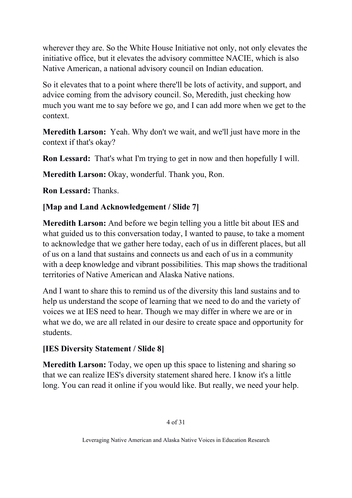wherever they are. So the White House Initiative not only, not only elevates the initiative office, but it elevates the advisory committee NACIE, which is also Native American, a national advisory council on Indian education.

So it elevates that to a point where there'll be lots of activity, and support, and advice coming from the advisory council. So, Meredith, just checking how much you want me to say before we go, and I can add more when we get to the context.

**Meredith Larson:** Yeah. Why don't we wait, and we'll just have more in the context if that's okay?

**Ron Lessard:** That's what I'm trying to get in now and then hopefully I will.

**Meredith Larson:** Okay, wonderful. Thank you, Ron.

**Ron Lessard:** Thanks.

## **[Map and Land Acknowledgement / Slide 7]**

**Meredith Larson:** And before we begin telling you a little bit about IES and what guided us to this conversation today, I wanted to pause, to take a moment to acknowledge that we gather here today, each of us in different places, but all of us on a land that sustains and connects us and each of us in a community with a deep knowledge and vibrant possibilities. This map shows the traditional territories of Native American and Alaska Native nations.

And I want to share this to remind us of the diversity this land sustains and to help us understand the scope of learning that we need to do and the variety of voices we at IES need to hear. Though we may differ in where we are or in what we do, we are all related in our desire to create space and opportunity for students.

## **[IES Diversity Statement / Slide 8]**

**Meredith Larson:** Today, we open up this space to listening and sharing so that we can realize IES's diversity statement shared here. I know it's a little long. You can read it online if you would like. But really, we need your help.

#### 4 of 31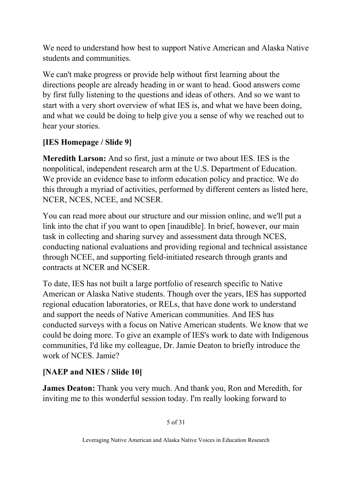We need to understand how best to support Native American and Alaska Native students and communities.

We can't make progress or provide help without first learning about the directions people are already heading in or want to head. Good answers come by first fully listening to the questions and ideas of others. And so we want to start with a very short overview of what IES is, and what we have been doing, and what we could be doing to help give you a sense of why we reached out to hear your stories.

## **[IES Homepage / Slide 9]**

**Meredith Larson:** And so first, just a minute or two about IES. IES is the nonpolitical, independent research arm at the U.S. Department of Education. We provide an evidence base to inform education policy and practice. We do this through a myriad of activities, performed by different centers as listed here, NCER, NCES, NCEE, and NCSER.

You can read more about our structure and our mission online, and we'll put a link into the chat if you want to open [inaudible]. In brief, however, our main task in collecting and sharing survey and assessment data through NCES, conducting national evaluations and providing regional and technical assistance through NCEE, and supporting field-initiated research through grants and contracts at NCER and NCSER.

To date, IES has not built a large portfolio of research specific to Native American or Alaska Native students. Though over the years, IES has supported regional education laboratories, or RELs, that have done work to understand and support the needs of Native American communities. And IES has conducted surveys with a focus on Native American students. We know that we could be doing more. To give an example of IES's work to date with Indigenous communities, I'd like my colleague, Dr. Jamie Deaton to briefly introduce the work of NCES. Jamie?

## **[NAEP and NIES / Slide 10]**

**James Deaton:** Thank you very much. And thank you, Ron and Meredith, for inviting me to this wonderful session today. I'm really looking forward to

5 of 31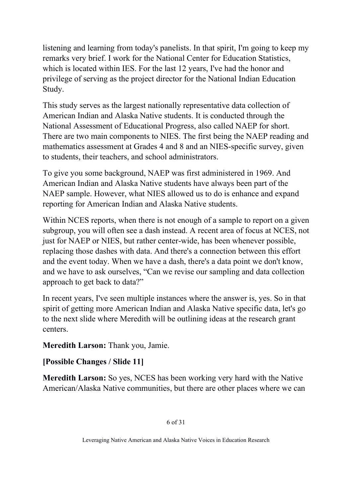listening and learning from today's panelists. In that spirit, I'm going to keep my remarks very brief. I work for the National Center for Education Statistics, which is located within IES. For the last 12 years, I've had the honor and privilege of serving as the project director for the National Indian Education Study.

This study serves as the largest nationally representative data collection of American Indian and Alaska Native students. It is conducted through the National Assessment of Educational Progress, also called NAEP for short. There are two main components to NIES. The first being the NAEP reading and mathematics assessment at Grades 4 and 8 and an NIES-specific survey, given to students, their teachers, and school administrators.

To give you some background, NAEP was first administered in 1969. And American Indian and Alaska Native students have always been part of the NAEP sample. However, what NIES allowed us to do is enhance and expand reporting for American Indian and Alaska Native students.

Within NCES reports, when there is not enough of a sample to report on a given subgroup, you will often see a dash instead. A recent area of focus at NCES, not just for NAEP or NIES, but rather center-wide, has been whenever possible, replacing those dashes with data. And there's a connection between this effort and the event today. When we have a dash, there's a data point we don't know, and we have to ask ourselves, "Can we revise our sampling and data collection approach to get back to data?"

In recent years, I've seen multiple instances where the answer is, yes. So in that spirit of getting more American Indian and Alaska Native specific data, let's go to the next slide where Meredith will be outlining ideas at the research grant centers.

## **Meredith Larson:** Thank you, Jamie.

## **[Possible Changes / Slide 11]**

**Meredith Larson:** So yes, NCES has been working very hard with the Native American/Alaska Native communities, but there are other places where we can

#### 6 of 31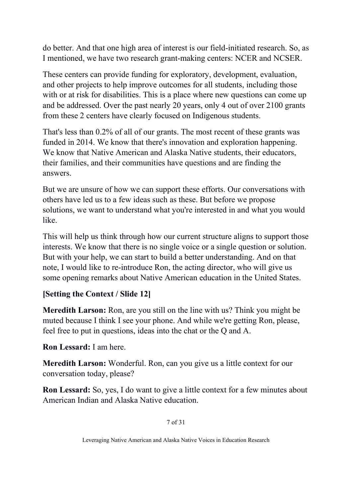do better. And that one high area of interest is our field-initiated research. So, as I mentioned, we have two research grant-making centers: NCER and NCSER.

These centers can provide funding for exploratory, development, evaluation, and other projects to help improve outcomes for all students, including those with or at risk for disabilities. This is a place where new questions can come up and be addressed. Over the past nearly 20 years, only 4 out of over 2100 grants from these 2 centers have clearly focused on Indigenous students.

That's less than 0.2% of all of our grants. The most recent of these grants was funded in 2014. We know that there's innovation and exploration happening. We know that Native American and Alaska Native students, their educators, their families, and their communities have questions and are finding the answers.

But we are unsure of how we can support these efforts. Our conversations with others have led us to a few ideas such as these. But before we propose solutions, we want to understand what you're interested in and what you would like.

This will help us think through how our current structure aligns to support those interests. We know that there is no single voice or a single question or solution. But with your help, we can start to build a better understanding. And on that note, I would like to re-introduce Ron, the acting director, who will give us some opening remarks about Native American education in the United States.

## **[Setting the Context / Slide 12]**

**Meredith Larson:** Ron, are you still on the line with us? Think you might be muted because I think I see your phone. And while we're getting Ron, please, feel free to put in questions, ideas into the chat or the Q and A.

**Ron Lessard:** I am here.

**Meredith Larson:** Wonderful. Ron, can you give us a little context for our conversation today, please?

**Ron Lessard:** So, yes, I do want to give a little context for a few minutes about American Indian and Alaska Native education.

7 of 31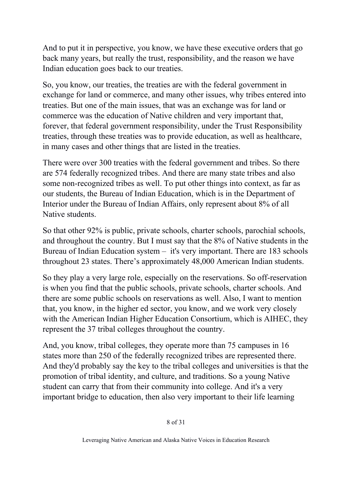And to put it in perspective, you know, we have these executive orders that go back many years, but really the trust, responsibility, and the reason we have Indian education goes back to our treaties.

So, you know, our treaties, the treaties are with the federal government in exchange for land or commerce, and many other issues, why tribes entered into treaties. But one of the main issues, that was an exchange was for land or commerce was the education of Native children and very important that, forever, that federal government responsibility, under the Trust Responsibility treaties, through these treaties was to provide education, as well as healthcare, in many cases and other things that are listed in the treaties.

There were over 300 treaties with the federal government and tribes. So there are 574 federally recognized tribes. And there are many state tribes and also some non-recognized tribes as well. To put other things into context, as far as our students, the Bureau of Indian Education, which is in the Department of Interior under the Bureau of Indian Affairs, only represent about 8% of all Native students.

So that other 92% is public, private schools, charter schools, parochial schools, and throughout the country. But I must say that the 8% of Native students in the Bureau of Indian Education system – it's very important. There are 183 schools throughout 23 states. There's approximately 48,000 American Indian students.

So they play a very large role, especially on the reservations. So off-reservation is when you find that the public schools, private schools, charter schools. And there are some public schools on reservations as well. Also, I want to mention that, you know, in the higher ed sector, you know, and we work very closely with the American Indian Higher Education Consortium, which is AIHEC, they represent the 37 tribal colleges throughout the country.

And, you know, tribal colleges, they operate more than 75 campuses in 16 states more than 250 of the federally recognized tribes are represented there. And they'd probably say the key to the tribal colleges and universities is that the promotion of tribal identity, and culture, and traditions. So a young Native student can carry that from their community into college. And it's a very important bridge to education, then also very important to their life learning

8 of 31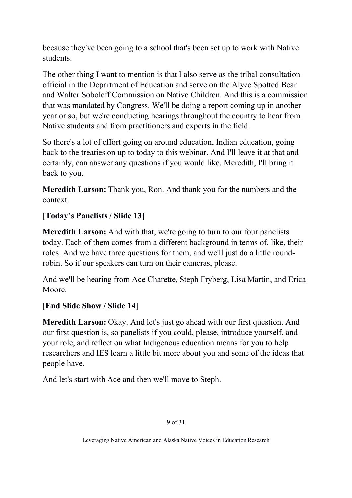because they've been going to a school that's been set up to work with Native students.

The other thing I want to mention is that I also serve as the tribal consultation official in the Department of Education and serve on the Alyce Spotted Bear and Walter Soboleff Commission on Native Children. And this is a commission that was mandated by Congress. We'll be doing a report coming up in another year or so, but we're conducting hearings throughout the country to hear from Native students and from practitioners and experts in the field.

So there's a lot of effort going on around education, Indian education, going back to the treaties on up to today to this webinar. And I'll leave it at that and certainly, can answer any questions if you would like. Meredith, I'll bring it back to you.

**Meredith Larson:** Thank you, Ron. And thank you for the numbers and the context.

## **[Today's Panelists / Slide 13]**

**Meredith Larson:** And with that, we're going to turn to our four panelists today. Each of them comes from a different background in terms of, like, their roles. And we have three questions for them, and we'll just do a little roundrobin. So if our speakers can turn on their cameras, please.

And we'll be hearing from Ace Charette, Steph Fryberg, Lisa Martin, and Erica Moore.

## **[End Slide Show / Slide 14]**

**Meredith Larson:** Okay. And let's just go ahead with our first question. And our first question is, so panelists if you could, please, introduce yourself, and your role, and reflect on what Indigenous education means for you to help researchers and IES learn a little bit more about you and some of the ideas that people have.

And let's start with Ace and then we'll move to Steph.

#### 9 of 31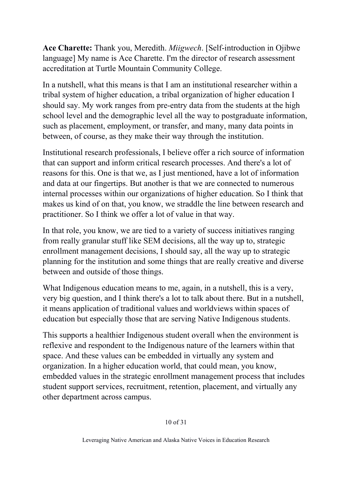**Ace Charette:** Thank you, Meredith. *Miigwech*. [Self-introduction in Ojibwe language] My name is Ace Charette. I'm the director of research assessment accreditation at Turtle Mountain Community College.

In a nutshell, what this means is that I am an institutional researcher within a tribal system of higher education, a tribal organization of higher education I should say. My work ranges from pre-entry data from the students at the high school level and the demographic level all the way to postgraduate information, such as placement, employment, or transfer, and many, many data points in between, of course, as they make their way through the institution.

Institutional research professionals, I believe offer a rich source of information that can support and inform critical research processes. And there's a lot of reasons for this. One is that we, as I just mentioned, have a lot of information and data at our fingertips. But another is that we are connected to numerous internal processes within our organizations of higher education. So I think that makes us kind of on that, you know, we straddle the line between research and practitioner. So I think we offer a lot of value in that way.

In that role, you know, we are tied to a variety of success initiatives ranging from really granular stuff like SEM decisions, all the way up to, strategic enrollment management decisions, I should say, all the way up to strategic planning for the institution and some things that are really creative and diverse between and outside of those things.

What Indigenous education means to me, again, in a nutshell, this is a very, very big question, and I think there's a lot to talk about there. But in a nutshell, it means application of traditional values and worldviews within spaces of education but especially those that are serving Native Indigenous students.

This supports a healthier Indigenous student overall when the environment is reflexive and respondent to the Indigenous nature of the learners within that space. And these values can be embedded in virtually any system and organization. In a higher education world, that could mean, you know, embedded values in the strategic enrollment management process that includes student support services, recruitment, retention, placement, and virtually any other department across campus.

10 of 31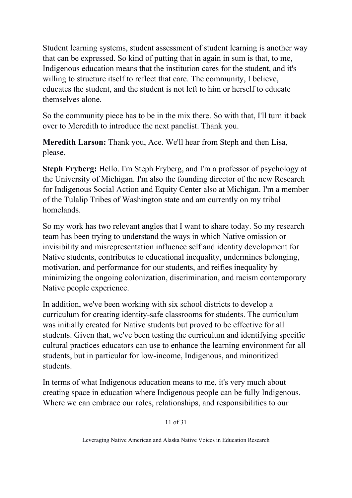Student learning systems, student assessment of student learning is another way that can be expressed. So kind of putting that in again in sum is that, to me, Indigenous education means that the institution cares for the student, and it's willing to structure itself to reflect that care. The community, I believe, educates the student, and the student is not left to him or herself to educate themselves alone.

So the community piece has to be in the mix there. So with that, I'll turn it back over to Meredith to introduce the next panelist. Thank you.

**Meredith Larson:** Thank you, Ace. We'll hear from Steph and then Lisa, please.

**Steph Fryberg:** Hello. I'm Steph Fryberg, and I'm a professor of psychology at the University of Michigan. I'm also the founding director of the new Research for Indigenous Social Action and Equity Center also at Michigan. I'm a member of the Tulalip Tribes of Washington state and am currently on my tribal homelands.

So my work has two relevant angles that I want to share today. So my research team has been trying to understand the ways in which Native omission or invisibility and misrepresentation influence self and identity development for Native students, contributes to educational inequality, undermines belonging, motivation, and performance for our students, and reifies inequality by minimizing the ongoing colonization, discrimination, and racism contemporary Native people experience.

In addition, we've been working with six school districts to develop a curriculum for creating identity-safe classrooms for students. The curriculum was initially created for Native students but proved to be effective for all students. Given that, we've been testing the curriculum and identifying specific cultural practices educators can use to enhance the learning environment for all students, but in particular for low-income, Indigenous, and minoritized students.

In terms of what Indigenous education means to me, it's very much about creating space in education where Indigenous people can be fully Indigenous. Where we can embrace our roles, relationships, and responsibilities to our

11 of 31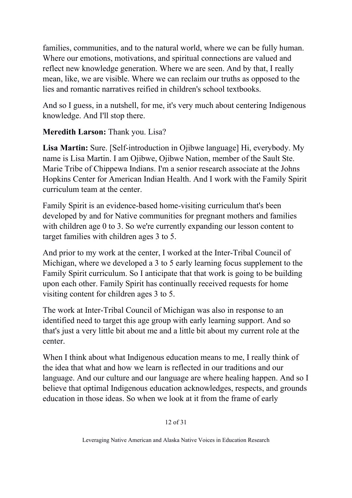families, communities, and to the natural world, where we can be fully human. Where our emotions, motivations, and spiritual connections are valued and reflect new knowledge generation. Where we are seen. And by that, I really mean, like, we are visible. Where we can reclaim our truths as opposed to the lies and romantic narratives reified in children's school textbooks.

And so I guess, in a nutshell, for me, it's very much about centering Indigenous knowledge. And I'll stop there.

## **Meredith Larson:** Thank you. Lisa?

**Lisa Martin:** Sure. [Self-introduction in Ojibwe language] Hi, everybody. My name is Lisa Martin. I am Ojibwe, Ojibwe Nation, member of the Sault Ste. Marie Tribe of Chippewa Indians. I'm a senior research associate at the Johns Hopkins Center for American Indian Health. And I work with the Family Spirit curriculum team at the center.

Family Spirit is an evidence-based home-visiting curriculum that's been developed by and for Native communities for pregnant mothers and families with children age 0 to 3. So we're currently expanding our lesson content to target families with children ages 3 to 5.

And prior to my work at the center, I worked at the Inter-Tribal Council of Michigan, where we developed a 3 to 5 early learning focus supplement to the Family Spirit curriculum. So I anticipate that that work is going to be building upon each other. Family Spirit has continually received requests for home visiting content for children ages 3 to 5.

The work at Inter-Tribal Council of Michigan was also in response to an identified need to target this age group with early learning support. And so that's just a very little bit about me and a little bit about my current role at the center.

When I think about what Indigenous education means to me, I really think of the idea that what and how we learn is reflected in our traditions and our language. And our culture and our language are where healing happen. And so I believe that optimal Indigenous education acknowledges, respects, and grounds education in those ideas. So when we look at it from the frame of early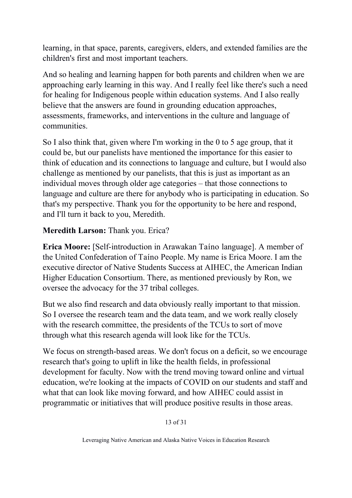learning, in that space, parents, caregivers, elders, and extended families are the children's first and most important teachers.

And so healing and learning happen for both parents and children when we are approaching early learning in this way. And I really feel like there's such a need for healing for Indigenous people within education systems. And I also really believe that the answers are found in grounding education approaches, assessments, frameworks, and interventions in the culture and language of communities.

So I also think that, given where I'm working in the 0 to 5 age group, that it could be, but our panelists have mentioned the importance for this easier to think of education and its connections to language and culture, but I would also challenge as mentioned by our panelists, that this is just as important as an individual moves through older age categories – that those connections to language and culture are there for anybody who is participating in education. So that's my perspective. Thank you for the opportunity to be here and respond, and I'll turn it back to you, Meredith.

## **Meredith Larson:** Thank you. Erica?

**Erica Moore:** [Self-introduction in Arawakan Taíno language]. A member of the United Confederation of Taíno People. My name is Erica Moore. I am the executive director of Native Students Success at AIHEC, the American Indian Higher Education Consortium. There, as mentioned previously by Ron, we oversee the advocacy for the 37 tribal colleges.

But we also find research and data obviously really important to that mission. So I oversee the research team and the data team, and we work really closely with the research committee, the presidents of the TCUs to sort of move through what this research agenda will look like for the TCUs.

We focus on strength-based areas. We don't focus on a deficit, so we encourage research that's going to uplift in like the health fields, in professional development for faculty. Now with the trend moving toward online and virtual education, we're looking at the impacts of COVID on our students and staff and what that can look like moving forward, and how AIHEC could assist in programmatic or initiatives that will produce positive results in those areas.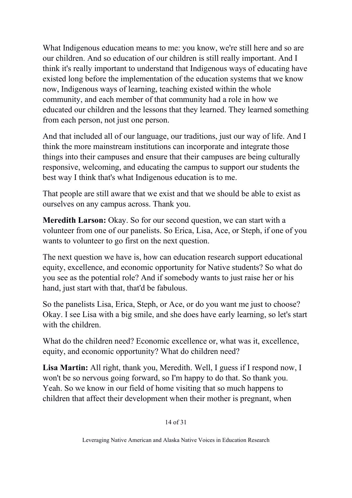What Indigenous education means to me: you know, we're still here and so are our children. And so education of our children is still really important. And I think it's really important to understand that Indigenous ways of educating have existed long before the implementation of the education systems that we know now, Indigenous ways of learning, teaching existed within the whole community, and each member of that community had a role in how we educated our children and the lessons that they learned. They learned something from each person, not just one person.

And that included all of our language, our traditions, just our way of life. And I think the more mainstream institutions can incorporate and integrate those things into their campuses and ensure that their campuses are being culturally responsive, welcoming, and educating the campus to support our students the best way I think that's what Indigenous education is to me.

That people are still aware that we exist and that we should be able to exist as ourselves on any campus across. Thank you.

**Meredith Larson:** Okay. So for our second question, we can start with a volunteer from one of our panelists. So Erica, Lisa, Ace, or Steph, if one of you wants to volunteer to go first on the next question.

The next question we have is, how can education research support educational equity, excellence, and economic opportunity for Native students? So what do you see as the potential role? And if somebody wants to just raise her or his hand, just start with that, that'd be fabulous.

So the panelists Lisa, Erica, Steph, or Ace, or do you want me just to choose? Okay. I see Lisa with a big smile, and she does have early learning, so let's start with the children.

What do the children need? Economic excellence or, what was it, excellence, equity, and economic opportunity? What do children need?

**Lisa Martin:** All right, thank you, Meredith. Well, I guess if I respond now, I won't be so nervous going forward, so I'm happy to do that. So thank you. Yeah. So we know in our field of home visiting that so much happens to children that affect their development when their mother is pregnant, when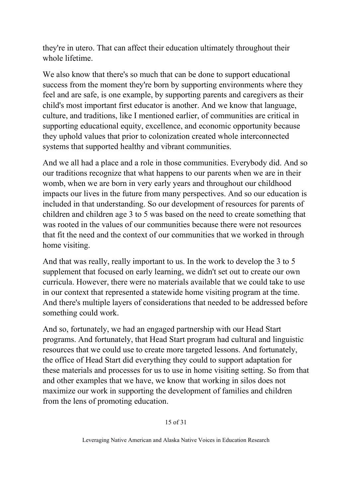they're in utero. That can affect their education ultimately throughout their whole lifetime.

We also know that there's so much that can be done to support educational success from the moment they're born by supporting environments where they feel and are safe, is one example, by supporting parents and caregivers as their child's most important first educator is another. And we know that language, culture, and traditions, like I mentioned earlier, of communities are critical in supporting educational equity, excellence, and economic opportunity because they uphold values that prior to colonization created whole interconnected systems that supported healthy and vibrant communities.

And we all had a place and a role in those communities. Everybody did. And so our traditions recognize that what happens to our parents when we are in their womb, when we are born in very early years and throughout our childhood impacts our lives in the future from many perspectives. And so our education is included in that understanding. So our development of resources for parents of children and children age 3 to 5 was based on the need to create something that was rooted in the values of our communities because there were not resources that fit the need and the context of our communities that we worked in through home visiting.

And that was really, really important to us. In the work to develop the 3 to 5 supplement that focused on early learning, we didn't set out to create our own curricula. However, there were no materials available that we could take to use in our context that represented a statewide home visiting program at the time. And there's multiple layers of considerations that needed to be addressed before something could work.

And so, fortunately, we had an engaged partnership with our Head Start programs. And fortunately, that Head Start program had cultural and linguistic resources that we could use to create more targeted lessons. And fortunately, the office of Head Start did everything they could to support adaptation for these materials and processes for us to use in home visiting setting. So from that and other examples that we have, we know that working in silos does not maximize our work in supporting the development of families and children from the lens of promoting education.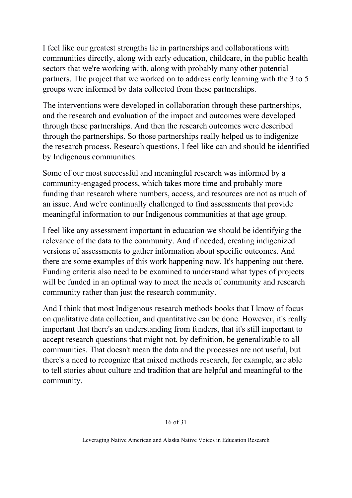I feel like our greatest strengths lie in partnerships and collaborations with communities directly, along with early education, childcare, in the public health sectors that we're working with, along with probably many other potential partners. The project that we worked on to address early learning with the 3 to 5 groups were informed by data collected from these partnerships.

The interventions were developed in collaboration through these partnerships, and the research and evaluation of the impact and outcomes were developed through these partnerships. And then the research outcomes were described through the partnerships. So those partnerships really helped us to indigenize the research process. Research questions, I feel like can and should be identified by Indigenous communities.

Some of our most successful and meaningful research was informed by a community-engaged process, which takes more time and probably more funding than research where numbers, access, and resources are not as much of an issue. And we're continually challenged to find assessments that provide meaningful information to our Indigenous communities at that age group.

I feel like any assessment important in education we should be identifying the relevance of the data to the community. And if needed, creating indigenized versions of assessments to gather information about specific outcomes. And there are some examples of this work happening now. It's happening out there. Funding criteria also need to be examined to understand what types of projects will be funded in an optimal way to meet the needs of community and research community rather than just the research community.

And I think that most Indigenous research methods books that I know of focus on qualitative data collection, and quantitative can be done. However, it's really important that there's an understanding from funders, that it's still important to accept research questions that might not, by definition, be generalizable to all communities. That doesn't mean the data and the processes are not useful, but there's a need to recognize that mixed methods research, for example, are able to tell stories about culture and tradition that are helpful and meaningful to the community.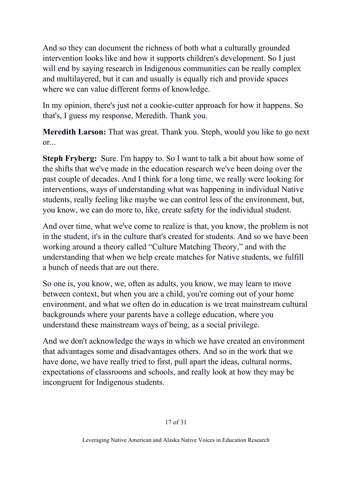And so they can document the richness of both what a culturally grounded intervention looks like and how it supports children's development. So I just will end by saying research in Indigenous communities can be really complex and multilayered, but it can and usually is equally rich and provide spaces where we can value different forms of knowledge.

In my opinion, there's just not a cookie-cutter approach for how it happens. So that's, I guess my response, Meredith. Thank you.

**Meredith Larson:** That was great. Thank you. Steph, would you like to go next or...

**Steph Fryberg:** Sure. I'm happy to. So I want to talk a bit about how some of the shifts that we've made in the education research we've been doing over the past couple of decades. And I think for a long time, we really were looking for interventions, ways of understanding what was happening in individual Native students, really feeling like maybe we can control less of the environment, but, you know, we can do more to, like, create safety for the individual student.

And over time, what we've come to realize is that, you know, the problem is not in the student, it's in the culture that's created for students. And so we have been working around a theory called "Culture Matching Theory," and with the understanding that when we help create matches for Native students, we fulfill a bunch of needs that are out there.

So one is, you know, we, often as adults, you know, we may learn to move between context, but when you are a child, you're coming out of your home environment, and what we often do in education is we treat mainstream cultural backgrounds where your parents have a college education, where you understand these mainstream ways of being, as a social privilege.

And we don't acknowledge the ways in which we have created an environment that advantages some and disadvantages others. And so in the work that we have done, we have really tried to first, pull apart the ideas, cultural norms, expectations of classrooms and schools, and really look at how they may be incongruent for Indigenous students.

#### 17 of 31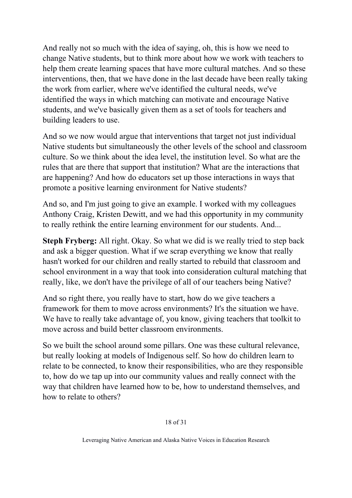And really not so much with the idea of saying, oh, this is how we need to change Native students, but to think more about how we work with teachers to help them create learning spaces that have more cultural matches. And so these interventions, then, that we have done in the last decade have been really taking the work from earlier, where we've identified the cultural needs, we've identified the ways in which matching can motivate and encourage Native students, and we've basically given them as a set of tools for teachers and building leaders to use.

And so we now would argue that interventions that target not just individual Native students but simultaneously the other levels of the school and classroom culture. So we think about the idea level, the institution level. So what are the rules that are there that support that institution? What are the interactions that are happening? And how do educators set up those interactions in ways that promote a positive learning environment for Native students?

And so, and I'm just going to give an example. I worked with my colleagues Anthony Craig, Kristen Dewitt, and we had this opportunity in my community to really rethink the entire learning environment for our students. And...

**Steph Fryberg:** All right. Okay. So what we did is we really tried to step back and ask a bigger question. What if we scrap everything we know that really hasn't worked for our children and really started to rebuild that classroom and school environment in a way that took into consideration cultural matching that really, like, we don't have the privilege of all of our teachers being Native?

And so right there, you really have to start, how do we give teachers a framework for them to move across environments? It's the situation we have. We have to really take advantage of, you know, giving teachers that toolkit to move across and build better classroom environments.

So we built the school around some pillars. One was these cultural relevance, but really looking at models of Indigenous self. So how do children learn to relate to be connected, to know their responsibilities, who are they responsible to, how do we tap up into our community values and really connect with the way that children have learned how to be, how to understand themselves, and how to relate to others?

18 of 31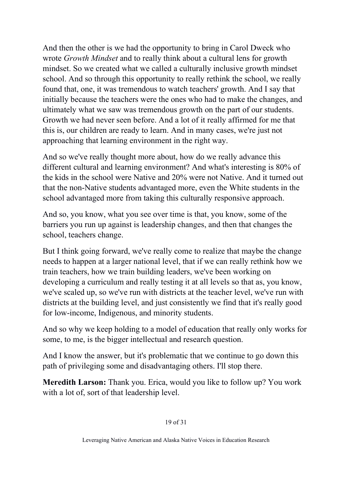And then the other is we had the opportunity to bring in Carol Dweck who wrote *Growth Mindset* and to really think about a cultural lens for growth mindset. So we created what we called a culturally inclusive growth mindset school. And so through this opportunity to really rethink the school, we really found that, one, it was tremendous to watch teachers' growth. And I say that initially because the teachers were the ones who had to make the changes, and ultimately what we saw was tremendous growth on the part of our students. Growth we had never seen before. And a lot of it really affirmed for me that this is, our children are ready to learn. And in many cases, we're just not approaching that learning environment in the right way.

And so we've really thought more about, how do we really advance this different cultural and learning environment? And what's interesting is 80% of the kids in the school were Native and 20% were not Native. And it turned out that the non-Native students advantaged more, even the White students in the school advantaged more from taking this culturally responsive approach.

And so, you know, what you see over time is that, you know, some of the barriers you run up against is leadership changes, and then that changes the school, teachers change.

But I think going forward, we've really come to realize that maybe the change needs to happen at a larger national level, that if we can really rethink how we train teachers, how we train building leaders, we've been working on developing a curriculum and really testing it at all levels so that as, you know, we've scaled up, so we've run with districts at the teacher level, we've run with districts at the building level, and just consistently we find that it's really good for low-income, Indigenous, and minority students.

And so why we keep holding to a model of education that really only works for some, to me, is the bigger intellectual and research question.

And I know the answer, but it's problematic that we continue to go down this path of privileging some and disadvantaging others. I'll stop there.

**Meredith Larson:** Thank you. Erica, would you like to follow up? You work with a lot of, sort of that leadership level.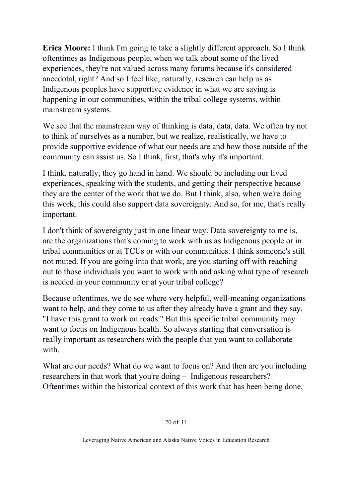**Erica Moore:** I think I'm going to take a slightly different approach. So I think oftentimes as Indigenous people, when we talk about some of the lived experiences, they're not valued across many forums because it's considered anecdotal, right? And so I feel like, naturally, research can help us as Indigenous peoples have supportive evidence in what we are saying is happening in our communities, within the tribal college systems, within mainstream systems.

We see that the mainstream way of thinking is data, data, data. We often try not to think of ourselves as a number, but we realize, realistically, we have to provide supportive evidence of what our needs are and how those outside of the community can assist us. So I think, first, that's why it's important.

I think, naturally, they go hand in hand. We should be including our lived experiences, speaking with the students, and getting their perspective because they are the center of the work that we do. But I think, also, when we're doing this work, this could also support data sovereignty. And so, for me, that's really important.

I don't think of sovereignty just in one linear way. Data sovereignty to me is, are the organizations that's coming to work with us as Indigenous people or in tribal communities or at TCUs or with our communities. I think someone's still not muted. If you are going into that work, are you starting off with reaching out to those individuals you want to work with and asking what type of research is needed in your community or at your tribal college?

Because oftentimes, we do see where very helpful, well-meaning organizations want to help, and they come to us after they already have a grant and they say, "I have this grant to work on roads." But this specific tribal community may want to focus on Indigenous health. So always starting that conversation is really important as researchers with the people that you want to collaborate with.

What are our needs? What do we want to focus on? And then are you including researchers in that work that you're doing – Indigenous researchers? Oftentimes within the historical context of this work that has been being done,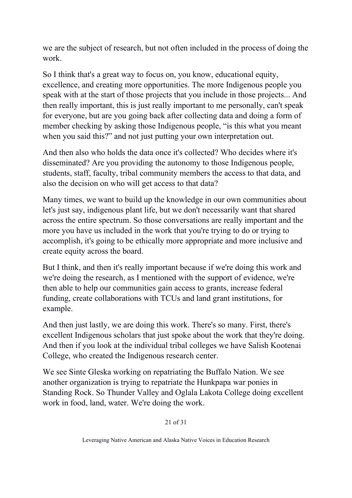we are the subject of research, but not often included in the process of doing the work.

So I think that's a great way to focus on, you know, educational equity, excellence, and creating more opportunities. The more Indigenous people you speak with at the start of those projects that you include in those projects... And then really important, this is just really important to me personally, can't speak for everyone, but are you going back after collecting data and doing a form of member checking by asking those Indigenous people, "is this what you meant when you said this?" and not just putting your own interpretation out.

And then also who holds the data once it's collected? Who decides where it's disseminated? Are you providing the autonomy to those Indigenous people, students, staff, faculty, tribal community members the access to that data, and also the decision on who will get access to that data?

Many times, we want to build up the knowledge in our own communities about let's just say, indigenous plant life, but we don't necessarily want that shared across the entire spectrum. So those conversations are really important and the more you have us included in the work that you're trying to do or trying to accomplish, it's going to be ethically more appropriate and more inclusive and create equity across the board.

But I think, and then it's really important because if we're doing this work and we're doing the research, as I mentioned with the support of evidence, we're then able to help our communities gain access to grants, increase federal funding, create collaborations with TCUs and land grant institutions, for example.

And then just lastly, we are doing this work. There's so many. First, there's excellent Indigenous scholars that just spoke about the work that they're doing. And then if you look at the individual tribal colleges we have Salish Kootenai College, who created the Indigenous research center.

We see Sinte Gleska working on repatriating the Buffalo Nation. We see another organization is trying to repatriate the Hunkpapa war ponies in Standing Rock. So Thunder Valley and Oglala Lakota College doing excellent work in food, land, water. We're doing the work.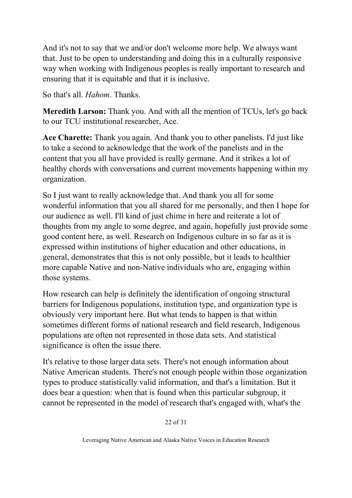And it's not to say that we and/or don't welcome more help. We always want that. Just to be open to understanding and doing this in a culturally responsive way when working with Indigenous peoples is really important to research and ensuring that it is equitable and that it is inclusive.

So that's all. *Hahom*. Thanks.

**Meredith Larson:** Thank you. And with all the mention of TCUs, let's go back to our TCU institutional researcher, Ace.

**Ace Charette:** Thank you again. And thank you to other panelists. I'd just like to take a second to acknowledge that the work of the panelists and in the content that you all have provided is really germane. And it strikes a lot of healthy chords with conversations and current movements happening within my organization.

So I just want to really acknowledge that. And thank you all for some wonderful information that you all shared for me personally, and then I hope for our audience as well. I'll kind of just chime in here and reiterate a lot of thoughts from my angle to some degree, and again, hopefully just provide some good content here, as well. Research on Indigenous culture in so far as it is expressed within institutions of higher education and other educations, in general, demonstrates that this is not only possible, but it leads to healthier more capable Native and non-Native individuals who are, engaging within those systems.

How research can help is definitely the identification of ongoing structural barriers for Indigenous populations, institution type, and organization type is obviously very important here. But what tends to happen is that within sometimes different forms of national research and field research, Indigenous populations are often not represented in those data sets. And statistical significance is often the issue there.

It's relative to those larger data sets. There's not enough information about Native American students. There's not enough people within those organization types to produce statistically valid information, and that's a limitation. But it does bear a question: when that is found when this particular subgroup, it cannot be represented in the model of research that's engaged with, what's the

22 of 31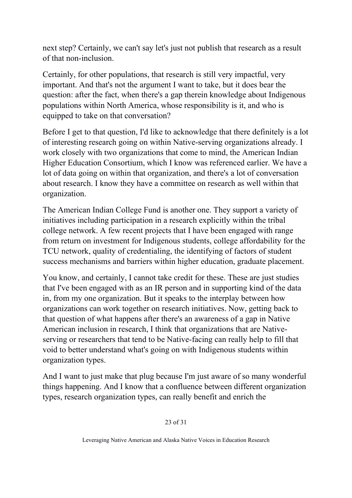next step? Certainly, we can't say let's just not publish that research as a result of that non-inclusion.

Certainly, for other populations, that research is still very impactful, very important. And that's not the argument I want to take, but it does bear the question: after the fact, when there's a gap therein knowledge about Indigenous populations within North America, whose responsibility is it, and who is equipped to take on that conversation?

Before I get to that question, I'd like to acknowledge that there definitely is a lot of interesting research going on within Native-serving organizations already. I work closely with two organizations that come to mind, the American Indian Higher Education Consortium, which I know was referenced earlier. We have a lot of data going on within that organization, and there's a lot of conversation about research. I know they have a committee on research as well within that organization.

The American Indian College Fund is another one. They support a variety of initiatives including participation in a research explicitly within the tribal college network. A few recent projects that I have been engaged with range from return on investment for Indigenous students, college affordability for the TCU network, quality of credentialing, the identifying of factors of student success mechanisms and barriers within higher education, graduate placement.

You know, and certainly, I cannot take credit for these. These are just studies that I've been engaged with as an IR person and in supporting kind of the data in, from my one organization. But it speaks to the interplay between how organizations can work together on research initiatives. Now, getting back to that question of what happens after there's an awareness of a gap in Native American inclusion in research, I think that organizations that are Nativeserving or researchers that tend to be Native-facing can really help to fill that void to better understand what's going on with Indigenous students within organization types.

And I want to just make that plug because I'm just aware of so many wonderful things happening. And I know that a confluence between different organization types, research organization types, can really benefit and enrich the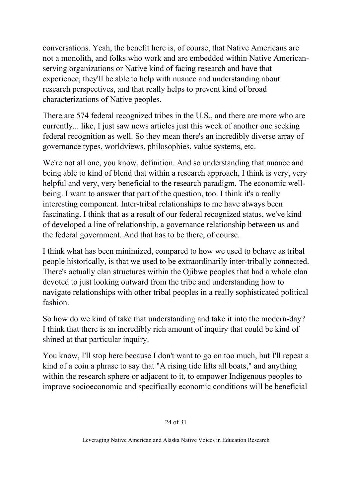conversations. Yeah, the benefit here is, of course, that Native Americans are not a monolith, and folks who work and are embedded within Native Americanserving organizations or Native kind of facing research and have that experience, they'll be able to help with nuance and understanding about research perspectives, and that really helps to prevent kind of broad characterizations of Native peoples.

There are 574 federal recognized tribes in the U.S., and there are more who are currently... like, I just saw news articles just this week of another one seeking federal recognition as well. So they mean there's an incredibly diverse array of governance types, worldviews, philosophies, value systems, etc.

We're not all one, you know, definition. And so understanding that nuance and being able to kind of blend that within a research approach, I think is very, very helpful and very, very beneficial to the research paradigm. The economic wellbeing. I want to answer that part of the question, too. I think it's a really interesting component. Inter-tribal relationships to me have always been fascinating. I think that as a result of our federal recognized status, we've kind of developed a line of relationship, a governance relationship between us and the federal government. And that has to be there, of course.

I think what has been minimized, compared to how we used to behave as tribal people historically, is that we used to be extraordinarily inter-tribally connected. There's actually clan structures within the Ojibwe peoples that had a whole clan devoted to just looking outward from the tribe and understanding how to navigate relationships with other tribal peoples in a really sophisticated political fashion.

So how do we kind of take that understanding and take it into the modern-day? I think that there is an incredibly rich amount of inquiry that could be kind of shined at that particular inquiry.

You know, I'll stop here because I don't want to go on too much, but I'll repeat a kind of a coin a phrase to say that "A rising tide lifts all boats," and anything within the research sphere or adjacent to it, to empower Indigenous peoples to improve socioeconomic and specifically economic conditions will be beneficial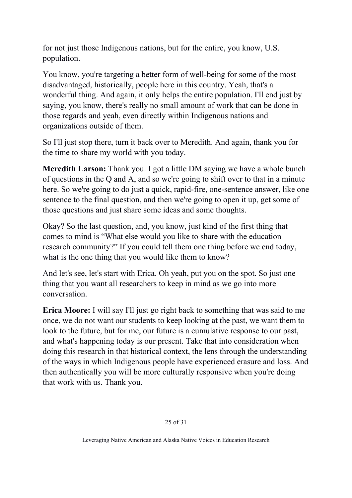for not just those Indigenous nations, but for the entire, you know, U.S. population.

You know, you're targeting a better form of well-being for some of the most disadvantaged, historically, people here in this country. Yeah, that's a wonderful thing. And again, it only helps the entire population. I'll end just by saying, you know, there's really no small amount of work that can be done in those regards and yeah, even directly within Indigenous nations and organizations outside of them.

So I'll just stop there, turn it back over to Meredith. And again, thank you for the time to share my world with you today.

**Meredith Larson:** Thank you. I got a little DM saying we have a whole bunch of questions in the Q and A, and so we're going to shift over to that in a minute here. So we're going to do just a quick, rapid-fire, one-sentence answer, like one sentence to the final question, and then we're going to open it up, get some of those questions and just share some ideas and some thoughts.

Okay? So the last question, and, you know, just kind of the first thing that comes to mind is "What else would you like to share with the education research community?" If you could tell them one thing before we end today, what is the one thing that you would like them to know?

And let's see, let's start with Erica. Oh yeah, put you on the spot. So just one thing that you want all researchers to keep in mind as we go into more conversation.

**Erica Moore:** I will say I'll just go right back to something that was said to me once, we do not want our students to keep looking at the past, we want them to look to the future, but for me, our future is a cumulative response to our past, and what's happening today is our present. Take that into consideration when doing this research in that historical context, the lens through the understanding of the ways in which Indigenous people have experienced erasure and loss. And then authentically you will be more culturally responsive when you're doing that work with us. Thank you.

#### 25 of 31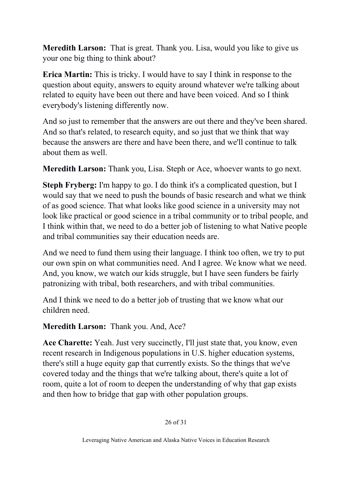**Meredith Larson:** That is great. Thank you. Lisa, would you like to give us your one big thing to think about?

**Erica Martin:** This is tricky. I would have to say I think in response to the question about equity, answers to equity around whatever we're talking about related to equity have been out there and have been voiced. And so I think everybody's listening differently now.

And so just to remember that the answers are out there and they've been shared. And so that's related, to research equity, and so just that we think that way because the answers are there and have been there, and we'll continue to talk about them as well.

**Meredith Larson:** Thank you, Lisa. Steph or Ace, whoever wants to go next.

**Steph Fryberg:** I'm happy to go. I do think it's a complicated question, but I would say that we need to push the bounds of basic research and what we think of as good science. That what looks like good science in a university may not look like practical or good science in a tribal community or to tribal people, and I think within that, we need to do a better job of listening to what Native people and tribal communities say their education needs are.

And we need to fund them using their language. I think too often, we try to put our own spin on what communities need. And I agree. We know what we need. And, you know, we watch our kids struggle, but I have seen funders be fairly patronizing with tribal, both researchers, and with tribal communities.

And I think we need to do a better job of trusting that we know what our children need.

**Meredith Larson:** Thank you. And, Ace?

**Ace Charette:** Yeah. Just very succinctly, I'll just state that, you know, even recent research in Indigenous populations in U.S. higher education systems, there's still a huge equity gap that currently exists. So the things that we've covered today and the things that we're talking about, there's quite a lot of room, quite a lot of room to deepen the understanding of why that gap exists and then how to bridge that gap with other population groups.

26 of 31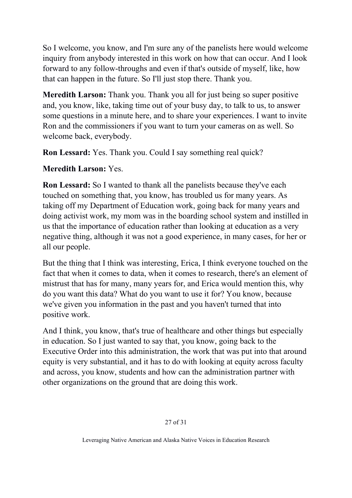So I welcome, you know, and I'm sure any of the panelists here would welcome inquiry from anybody interested in this work on how that can occur. And I look forward to any follow-throughs and even if that's outside of myself, like, how that can happen in the future. So I'll just stop there. Thank you.

**Meredith Larson:** Thank you. Thank you all for just being so super positive and, you know, like, taking time out of your busy day, to talk to us, to answer some questions in a minute here, and to share your experiences. I want to invite Ron and the commissioners if you want to turn your cameras on as well. So welcome back, everybody.

**Ron Lessard:** Yes. Thank you. Could I say something real quick?

## **Meredith Larson:** Yes.

**Ron Lessard:** So I wanted to thank all the panelists because they've each touched on something that, you know, has troubled us for many years. As taking off my Department of Education work, going back for many years and doing activist work, my mom was in the boarding school system and instilled in us that the importance of education rather than looking at education as a very negative thing, although it was not a good experience, in many cases, for her or all our people.

But the thing that I think was interesting, Erica, I think everyone touched on the fact that when it comes to data, when it comes to research, there's an element of mistrust that has for many, many years for, and Erica would mention this, why do you want this data? What do you want to use it for? You know, because we've given you information in the past and you haven't turned that into positive work.

And I think, you know, that's true of healthcare and other things but especially in education. So I just wanted to say that, you know, going back to the Executive Order into this administration, the work that was put into that around equity is very substantial, and it has to do with looking at equity across faculty and across, you know, students and how can the administration partner with other organizations on the ground that are doing this work.

#### 27 of 31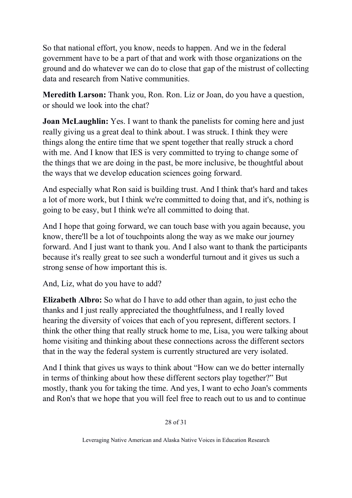So that national effort, you know, needs to happen. And we in the federal government have to be a part of that and work with those organizations on the ground and do whatever we can do to close that gap of the mistrust of collecting data and research from Native communities.

**Meredith Larson:** Thank you, Ron. Ron. Liz or Joan, do you have a question, or should we look into the chat?

**Joan McLaughlin:** Yes. I want to thank the panelists for coming here and just really giving us a great deal to think about. I was struck. I think they were things along the entire time that we spent together that really struck a chord with me. And I know that IES is very committed to trying to change some of the things that we are doing in the past, be more inclusive, be thoughtful about the ways that we develop education sciences going forward.

And especially what Ron said is building trust. And I think that's hard and takes a lot of more work, but I think we're committed to doing that, and it's, nothing is going to be easy, but I think we're all committed to doing that.

And I hope that going forward, we can touch base with you again because, you know, there'll be a lot of touchpoints along the way as we make our journey forward. And I just want to thank you. And I also want to thank the participants because it's really great to see such a wonderful turnout and it gives us such a strong sense of how important this is.

And, Liz, what do you have to add?

**Elizabeth Albro:** So what do I have to add other than again, to just echo the thanks and I just really appreciated the thoughtfulness, and I really loved hearing the diversity of voices that each of you represent, different sectors. I think the other thing that really struck home to me, Lisa, you were talking about home visiting and thinking about these connections across the different sectors that in the way the federal system is currently structured are very isolated.

And I think that gives us ways to think about "How can we do better internally in terms of thinking about how these different sectors play together?" But mostly, thank you for taking the time. And yes, I want to echo Joan's comments and Ron's that we hope that you will feel free to reach out to us and to continue

28 of 31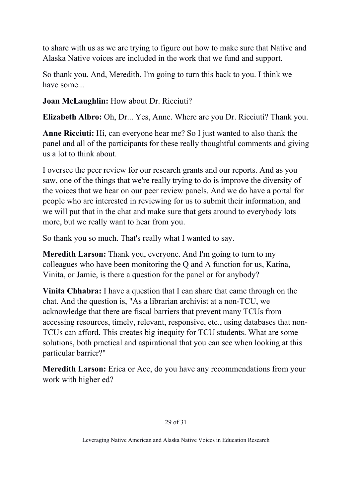to share with us as we are trying to figure out how to make sure that Native and Alaska Native voices are included in the work that we fund and support.

So thank you. And, Meredith, I'm going to turn this back to you. I think we have some...

**Joan McLaughlin:** How about Dr. Ricciuti?

**Elizabeth Albro:** Oh, Dr... Yes, Anne. Where are you Dr. Ricciuti? Thank you.

**Anne Ricciuti:** Hi, can everyone hear me? So I just wanted to also thank the panel and all of the participants for these really thoughtful comments and giving us a lot to think about.

I oversee the peer review for our research grants and our reports. And as you saw, one of the things that we're really trying to do is improve the diversity of the voices that we hear on our peer review panels. And we do have a portal for people who are interested in reviewing for us to submit their information, and we will put that in the chat and make sure that gets around to everybody lots more, but we really want to hear from you.

So thank you so much. That's really what I wanted to say.

**Meredith Larson:** Thank you, everyone. And I'm going to turn to my colleagues who have been monitoring the Q and A function for us, Katina, Vinita, or Jamie, is there a question for the panel or for anybody?

**Vinita Chhabra:** I have a question that I can share that came through on the chat. And the question is, "As a librarian archivist at a non-TCU, we acknowledge that there are fiscal barriers that prevent many TCUs from accessing resources, timely, relevant, responsive, etc., using databases that non-TCUs can afford. This creates big inequity for TCU students. What are some solutions, both practical and aspirational that you can see when looking at this particular barrier?"

**Meredith Larson:** Erica or Ace, do you have any recommendations from your work with higher ed?

#### 29 of 31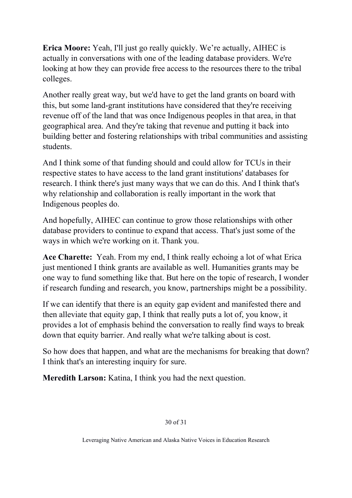**Erica Moore:** Yeah, I'll just go really quickly. We're actually, AIHEC is actually in conversations with one of the leading database providers. We're looking at how they can provide free access to the resources there to the tribal colleges.

Another really great way, but we'd have to get the land grants on board with this, but some land-grant institutions have considered that they're receiving revenue off of the land that was once Indigenous peoples in that area, in that geographical area. And they're taking that revenue and putting it back into building better and fostering relationships with tribal communities and assisting students.

And I think some of that funding should and could allow for TCUs in their respective states to have access to the land grant institutions' databases for research. I think there's just many ways that we can do this. And I think that's why relationship and collaboration is really important in the work that Indigenous peoples do.

And hopefully, AIHEC can continue to grow those relationships with other database providers to continue to expand that access. That's just some of the ways in which we're working on it. Thank you.

**Ace Charette:** Yeah. From my end, I think really echoing a lot of what Erica just mentioned I think grants are available as well. Humanities grants may be one way to fund something like that. But here on the topic of research, I wonder if research funding and research, you know, partnerships might be a possibility.

If we can identify that there is an equity gap evident and manifested there and then alleviate that equity gap, I think that really puts a lot of, you know, it provides a lot of emphasis behind the conversation to really find ways to break down that equity barrier. And really what we're talking about is cost.

So how does that happen, and what are the mechanisms for breaking that down? I think that's an interesting inquiry for sure.

**Meredith Larson:** Katina, I think you had the next question.

#### 30 of 31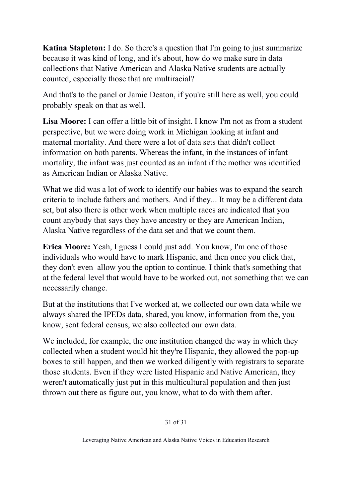**Katina Stapleton:** I do. So there's a question that I'm going to just summarize because it was kind of long, and it's about, how do we make sure in data collections that Native American and Alaska Native students are actually counted, especially those that are multiracial?

And that's to the panel or Jamie Deaton, if you're still here as well, you could probably speak on that as well.

**Lisa Moore:** I can offer a little bit of insight. I know I'm not as from a student perspective, but we were doing work in Michigan looking at infant and maternal mortality. And there were a lot of data sets that didn't collect information on both parents. Whereas the infant, in the instances of infant mortality, the infant was just counted as an infant if the mother was identified as American Indian or Alaska Native.

What we did was a lot of work to identify our babies was to expand the search criteria to include fathers and mothers. And if they... It may be a different data set, but also there is other work when multiple races are indicated that you count anybody that says they have ancestry or they are American Indian, Alaska Native regardless of the data set and that we count them.

**Erica Moore:** Yeah, I guess I could just add. You know, I'm one of those individuals who would have to mark Hispanic, and then once you click that, they don't even allow you the option to continue. I think that's something that at the federal level that would have to be worked out, not something that we can necessarily change.

But at the institutions that I've worked at, we collected our own data while we always shared the IPEDs data, shared, you know, information from the, you know, sent federal census, we also collected our own data.

We included, for example, the one institution changed the way in which they collected when a student would hit they're Hispanic, they allowed the pop-up boxes to still happen, and then we worked diligently with registrars to separate those students. Even if they were listed Hispanic and Native American, they weren't automatically just put in this multicultural population and then just thrown out there as figure out, you know, what to do with them after.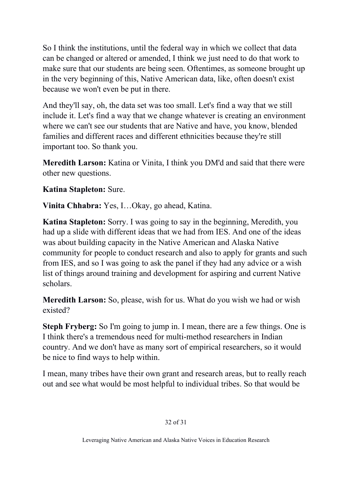So I think the institutions, until the federal way in which we collect that data can be changed or altered or amended, I think we just need to do that work to make sure that our students are being seen. Oftentimes, as someone brought up in the very beginning of this, Native American data, like, often doesn't exist because we won't even be put in there.

And they'll say, oh, the data set was too small. Let's find a way that we still include it. Let's find a way that we change whatever is creating an environment where we can't see our students that are Native and have, you know, blended families and different races and different ethnicities because they're still important too. So thank you.

**Meredith Larson:** Katina or Vinita, I think you DM'd and said that there were other new questions.

## **Katina Stapleton:** Sure.

**Vinita Chhabra:** Yes, I…Okay, go ahead, Katina.

**Katina Stapleton:** Sorry. I was going to say in the beginning, Meredith, you had up a slide with different ideas that we had from IES. And one of the ideas was about building capacity in the Native American and Alaska Native community for people to conduct research and also to apply for grants and such from IES, and so I was going to ask the panel if they had any advice or a wish list of things around training and development for aspiring and current Native scholars.

**Meredith Larson:** So, please, wish for us. What do you wish we had or wish existed?

**Steph Fryberg:** So I'm going to jump in. I mean, there are a few things. One is I think there's a tremendous need for multi-method researchers in Indian country. And we don't have as many sort of empirical researchers, so it would be nice to find ways to help within.

I mean, many tribes have their own grant and research areas, but to really reach out and see what would be most helpful to individual tribes. So that would be

#### 32 of 31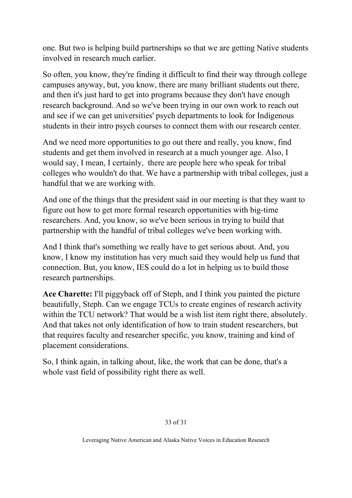one. But two is helping build partnerships so that we are getting Native students involved in research much earlier.

So often, you know, they're finding it difficult to find their way through college campuses anyway, but, you know, there are many brilliant students out there, and then it's just hard to get into programs because they don't have enough research background. And so we've been trying in our own work to reach out and see if we can get universities' psych departments to look for Indigenous students in their intro psych courses to connect them with our research center.

And we need more opportunities to go out there and really, you know, find students and get them involved in research at a much younger age. Also, I would say, I mean, I certainly, there are people here who speak for tribal colleges who wouldn't do that. We have a partnership with tribal colleges, just a handful that we are working with.

And one of the things that the president said in our meeting is that they want to figure out how to get more formal research opportunities with big-time researchers. And, you know, so we've been serious in trying to build that partnership with the handful of tribal colleges we've been working with.

And I think that's something we really have to get serious about. And, you know, I know my institution has very much said they would help us fund that connection. But, you know, IES could do a lot in helping us to build those research partnerships.

**Ace Charette:** I'll piggyback off of Steph, and I think you painted the picture beautifully, Steph. Can we engage TCUs to create engines of research activity within the TCU network? That would be a wish list item right there, absolutely. And that takes not only identification of how to train student researchers, but that requires faculty and researcher specific, you know, training and kind of placement considerations.

So, I think again, in talking about, like, the work that can be done, that's a whole vast field of possibility right there as well.

#### 33 of 31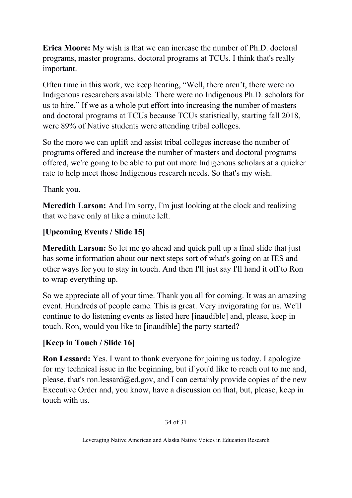**Erica Moore:** My wish is that we can increase the number of Ph.D. doctoral programs, master programs, doctoral programs at TCUs. I think that's really important.

Often time in this work, we keep hearing, "Well, there aren't, there were no Indigenous researchers available. There were no Indigenous Ph.D. scholars for us to hire." If we as a whole put effort into increasing the number of masters and doctoral programs at TCUs because TCUs statistically, starting fall 2018, were 89% of Native students were attending tribal colleges.

So the more we can uplift and assist tribal colleges increase the number of programs offered and increase the number of masters and doctoral programs offered, we're going to be able to put out more Indigenous scholars at a quicker rate to help meet those Indigenous research needs. So that's my wish.

Thank you.

**Meredith Larson:** And I'm sorry, I'm just looking at the clock and realizing that we have only at like a minute left.

## **[Upcoming Events / Slide 15]**

**Meredith Larson:** So let me go ahead and quick pull up a final slide that just has some information about our next steps sort of what's going on at IES and other ways for you to stay in touch. And then I'll just say I'll hand it off to Ron to wrap everything up.

So we appreciate all of your time. Thank you all for coming. It was an amazing event. Hundreds of people came. This is great. Very invigorating for us. We'll continue to do listening events as listed here [inaudible] and, please, keep in touch. Ron, would you like to [inaudible] the party started?

## **[Keep in Touch / Slide 16]**

**Ron Lessard:** Yes. I want to thank everyone for joining us today. I apologize for my technical issue in the beginning, but if you'd like to reach out to me and, please, that's ron.lessard@ed.gov, and I can certainly provide copies of the new Executive Order and, you know, have a discussion on that, but, please, keep in touch with us.

#### 34 of 31